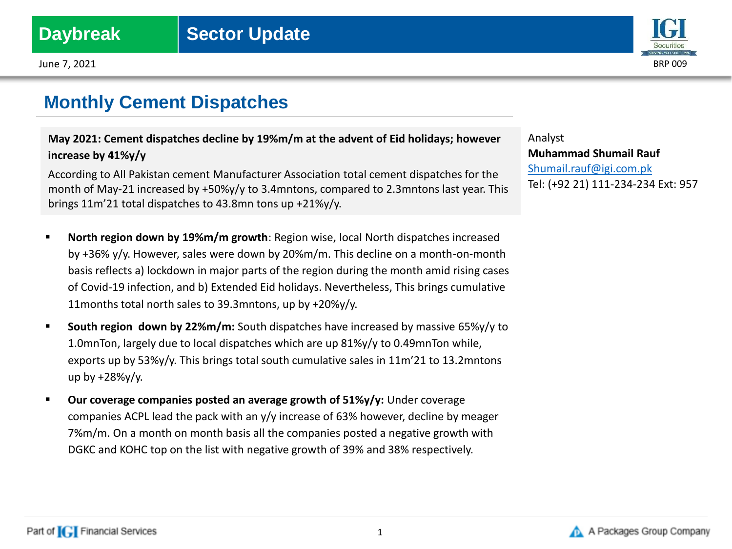June 7, 2021 BRP 009

## **Monthly Cement Dispatches**

**May 2021: Cement dispatches decline by 19%m/m at the advent of Eid holidays; however increase by 41%y/y**

According to All Pakistan cement Manufacturer Association total cement dispatches for the month of May-21 increased by +50%y/y to 3.4mntons, compared to 2.3mntons last year. This brings 11m'21 total dispatches to 43.8mn tons up +21%y/y.

- **North region down by 19%m/m growth**: Region wise, local North dispatches increased by +36% y/y. However, sales were down by 20%m/m. This decline on a month-on-month basis reflects a) lockdown in major parts of the region during the month amid rising cases of Covid-19 infection, and b) Extended Eid holidays. Nevertheless, This brings cumulative 11months total north sales to 39.3mntons, up by +20%y/y.
- **South region down by 22%m/m:** South dispatches have increased by massive 65%y/y to 1.0mnTon, largely due to local dispatches which are up 81%y/y to 0.49mnTon while, exports up by 53% $y/y$ . This brings total south cumulative sales in  $11m'21$  to 13.2mntons up by +28%y/y.
- **Our coverage companies posted an average growth of 51%y/y:** Under coverage companies ACPL lead the pack with an y/y increase of 63% however, decline by meager 7%m/m. On a month on month basis all the companies posted a negative growth with DGKC and KOHC top on the list with negative growth of 39% and 38% respectively.

Analyst **Muhammad Shumail Rauf** [Shumail.rauf@igi.com.pk](mailto:Shumail.rauf@igi.com.pk) Tel: (+92 21) 111-234-234 Ext: 957

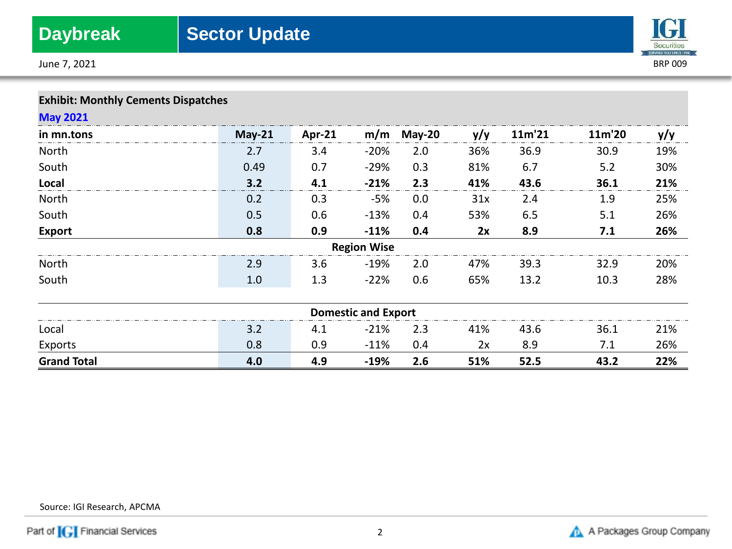June 7, 2021 BRP 009



| <b>Exhibit: Monthly Cements Dispatches</b> |  |  |
|--------------------------------------------|--|--|
|--------------------------------------------|--|--|

| <b>May 2021</b>    |               |        |                            |          |     |        |        |     |
|--------------------|---------------|--------|----------------------------|----------|-----|--------|--------|-----|
| in mn.tons         | <b>May-21</b> | Apr-21 | m/m                        | $May-20$ | y/y | 11m'21 | 11m'20 | y/y |
| North              | 2.7           | 3.4    | $-20%$                     | 2.0      | 36% | 36.9   | 30.9   | 19% |
| South              | 0.49          | 0.7    | $-29%$                     | 0.3      | 81% | 6.7    | 5.2    | 30% |
| Local              | 3.2           | 4.1    | $-21%$                     | 2.3      | 41% | 43.6   | 36.1   | 21% |
| North              | 0.2           | 0.3    | -5%                        | 0.0      | 31x | 2.4    | 1.9    | 25% |
| South              | 0.5           | 0.6    | $-13%$                     | 0.4      | 53% | 6.5    | 5.1    | 26% |
| <b>Export</b>      | 0.8           | 0.9    | $-11%$                     | 0.4      | 2x  | 8.9    | 7.1    | 26% |
|                    |               |        | <b>Region Wise</b>         |          |     |        |        |     |
| North              | 2.9           | 3.6    | $-19%$                     | 2.0      | 47% | 39.3   | 32.9   | 20% |
| South              | 1.0           | 1.3    | $-22%$                     | 0.6      | 65% | 13.2   | 10.3   | 28% |
|                    |               |        | <b>Domestic and Export</b> |          |     |        |        |     |
| Local              | 3.2           | 4.1    | $-21%$                     | 2.3      | 41% | 43.6   | 36.1   | 21% |
| Exports            | 0.8           | 0.9    | $-11%$                     | 0.4      | 2x  | 8.9    | 7.1    | 26% |
| <b>Grand Total</b> | 4.0           | 4.9    | $-19%$                     | 2.6      | 51% | 52.5   | 43.2   | 22% |

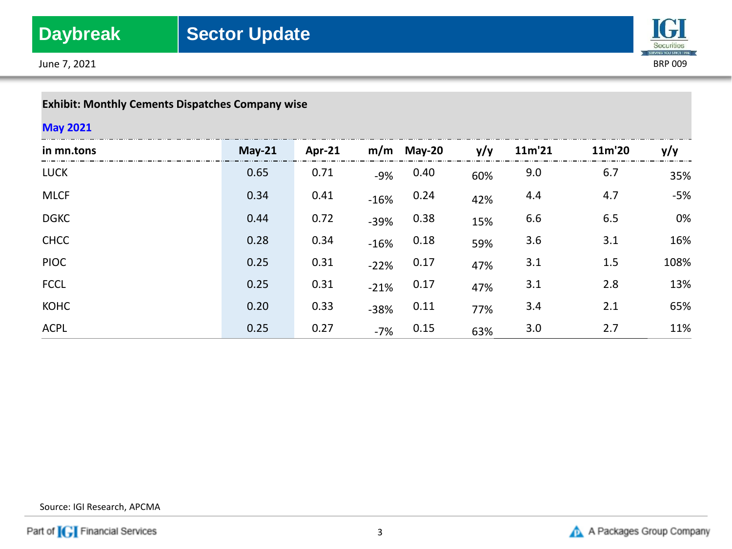June 7, 2021 BRP 009



## **Exhibit: Monthly Cements Dispatches Company wise**

### **May 2021**

| in mn.tons  | $May-21$ | Apr- $21$ |        | $m/m$ May-20 | y/y | 11m'21 | 11m'20 | y/y  |
|-------------|----------|-----------|--------|--------------|-----|--------|--------|------|
| <b>LUCK</b> | 0.65     | 0.71      | $-9%$  | 0.40         | 60% | 9.0    | 6.7    | 35%  |
| <b>MLCF</b> | 0.34     | 0.41      | $-16%$ | 0.24         | 42% | 4.4    | 4.7    | -5%  |
| <b>DGKC</b> | 0.44     | 0.72      | $-39%$ | 0.38         | 15% | 6.6    | 6.5    | 0%   |
| <b>CHCC</b> | 0.28     | 0.34      | $-16%$ | 0.18         | 59% | 3.6    | 3.1    | 16%  |
| <b>PIOC</b> | 0.25     | 0.31      | $-22%$ | 0.17         | 47% | 3.1    | 1.5    | 108% |
| <b>FCCL</b> | 0.25     | 0.31      | $-21%$ | 0.17         | 47% | 3.1    | 2.8    | 13%  |
| <b>KOHC</b> | 0.20     | 0.33      | $-38%$ | 0.11         | 77% | 3.4    | 2.1    | 65%  |
| <b>ACPL</b> | 0.25     | 0.27      | $-7%$  | 0.15         | 63% | 3.0    | 2.7    | 11%  |

Source: IGI Research, APCMA

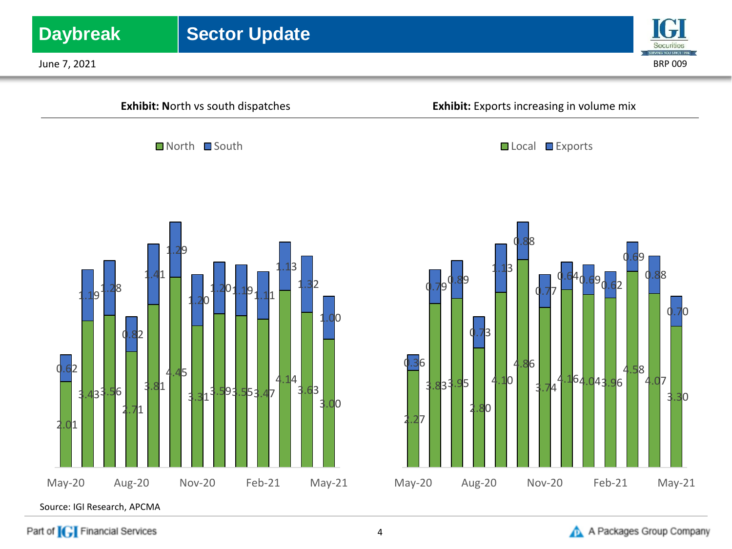

Part of **[G]** Financial Services

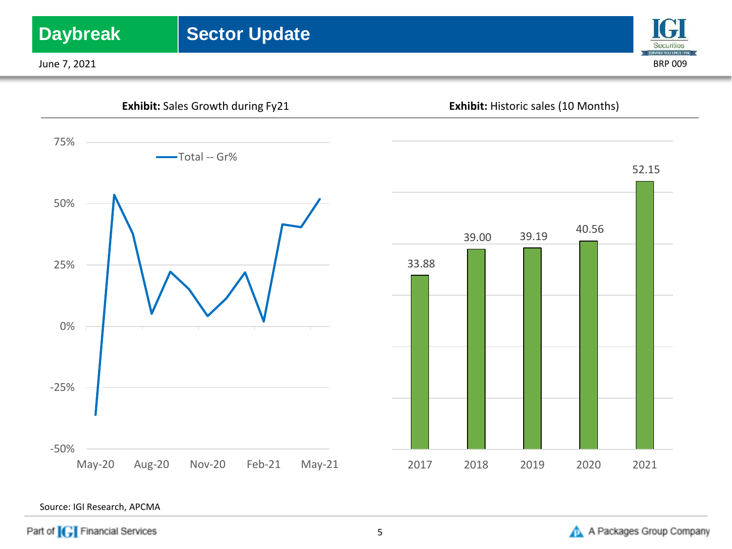

Source: IGI Research, APCMA

May-20 Aug-20 Nov-20 Feb-21 May-21

Part of **[G]** Financial Services

-50%



2017 2018 2019 2020 2021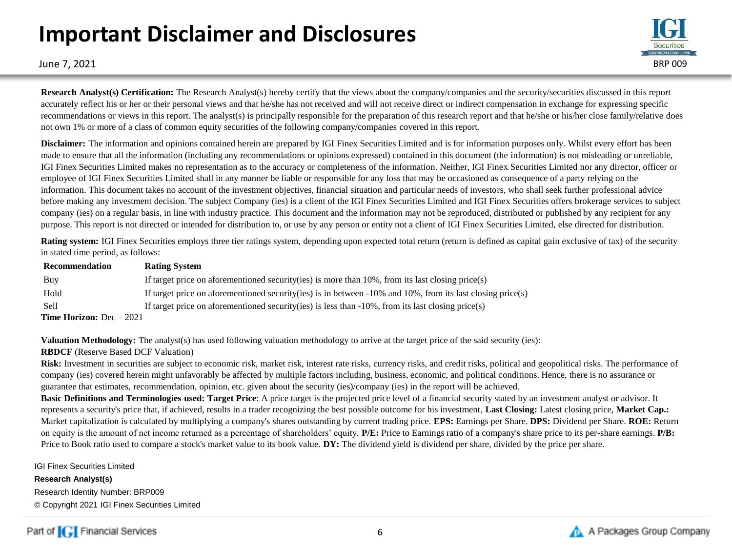# **Important Disclaimer and Disclosures**



June 7, 2021 BRP 009

**Research Analyst(s) Certification:** The Research Analyst(s) hereby certify that the views about the company/companies and the security/securities discussed in this report accurately reflect his or her or their personal views and that he/she has not received and will not receive direct or indirect compensation in exchange for expressing specific recommendations or views in this report. The analyst(s) is principally responsible for the preparation of this research report and that he/she or his/her close family/relative does not own 1% or more of a class of common equity securities of the following company/companies covered in this report.

**Disclaimer:** The information and opinions contained herein are prepared by IGI Finex Securities Limited and is for information purposes only. Whilst every effort has been made to ensure that all the information (including any recommendations or opinions expressed) contained in this document (the information) is not misleading or unreliable, IGI Finex Securities Limited makes no representation as to the accuracy or completeness of the information. Neither, IGI Finex Securities Limited nor any director, officer or employee of IGI Finex Securities Limited shall in any manner be liable or responsible for any loss that may be occasioned as consequence of a party relying on the information. This document takes no account of the investment objectives, financial situation and particular needs of investors, who shall seek further professional advice before making any investment decision. The subject Company (ies) is a client of the IGI Finex Securities Limited and IGI Finex Securities offers brokerage services to subject company (ies) on a regular basis, in line with industry practice. This document and the information may not be reproduced, distributed or published by any recipient for any purpose. This report is not directed or intended for distribution to, or use by any person or entity not a client of IGI Finex Securities Limited, else directed for distribution.

**Rating system:** IGI Finex Securities employs three tier ratings system, depending upon expected total return (return is defined as capital gain exclusive of tax) of the security in stated time period, as follows:

| Recommendation                    | <b>Rating System</b>                                                                                               |
|-----------------------------------|--------------------------------------------------------------------------------------------------------------------|
| Buy                               | If target price on aforementioned security (ies) is more than $10\%$ , from its last closing price (s)             |
| Hold                              | If target price on aforementioned security (ies) is in between $-10\%$ and $10\%$ , from its last closing price(s) |
| <b>Sell</b>                       | If target price on aforementioned security (ies) is less than $-10\%$ , from its last closing price (s)            |
| <b>Time Horizon:</b> $Dec - 2021$ |                                                                                                                    |

**Valuation Methodology:** The analyst(s) has used following valuation methodology to arrive at the target price of the said security (ies):

### **RBDCF** (Reserve Based DCF Valuation)

Risk: Investment in securities are subject to economic risk, market risk, interest rate risks, currency risks, and credit risks, political and geopolitical risks. The performance of company (ies) covered herein might unfavorably be affected by multiple factors including, business, economic, and political conditions. Hence, there is no assurance or guarantee that estimates, recommendation, opinion, etc. given about the security (ies)/company (ies) in the report will be achieved.

**Basic Definitions and Terminologies used: Target Price**: A price target is the projected price level of a financial security stated by an investment analyst or advisor. It represents a security's price that, if achieved, results in a trader recognizing the best possible outcome for his investment, **Last Closing:** Latest closing price, **Market Cap.:**  Market capitalization is calculated by multiplying a company's shares outstanding by current trading price. **EPS:** Earnings per Share. **DPS:** Dividend per Share. **ROE:** Return on equity is the amount of net income returned as a percentage of shareholders' equity. **P/E:** Price to Earnings ratio of a company's share price to its per-share earnings. **P/B:** Price to Book ratio used to compare a stock's market value to its book value. **DY:** The dividend yield is dividend per share, divided by the price per share.

IGI Finex Securities Limited

**Research Analyst(s)** Research Identity Number: BRP009 © Copyright 2021 IGI Finex Securities Limited